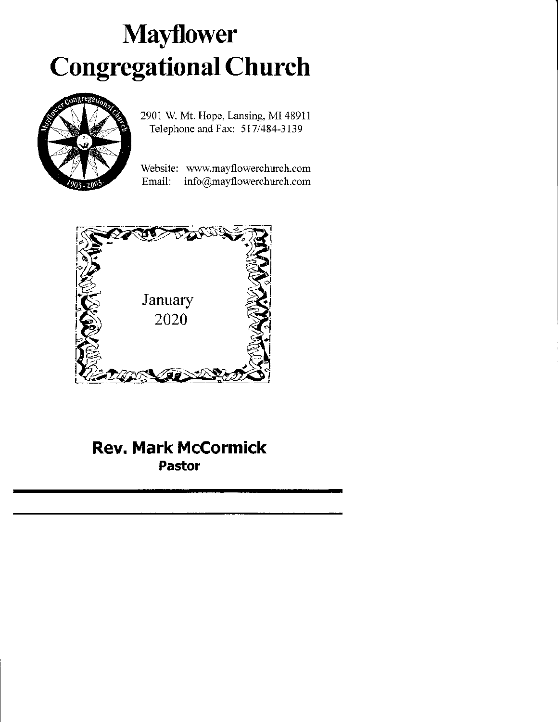# Mayflower Congregational Church



2901 W. Mt. Ilopc, Lansing, MI48911 Telephone and Fax: 517/484-3139

Website: www.mayflowerchurch.com Email: info@mayflowerchurch.com



Rev. Mark McCormick Pastor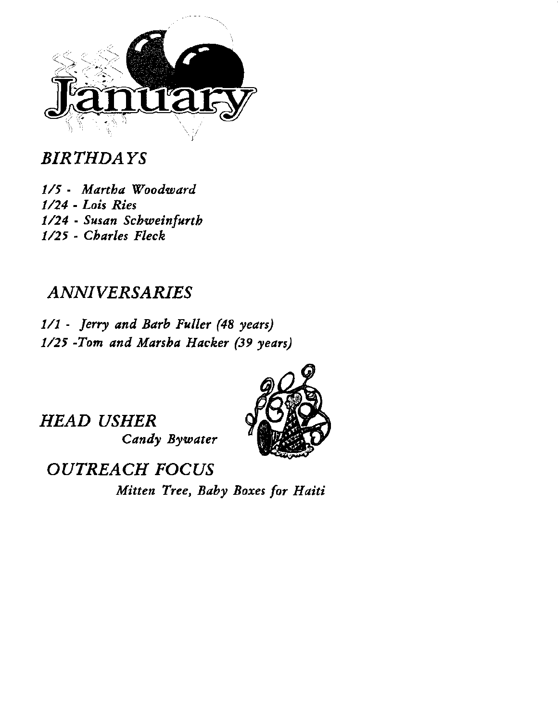

# BIRTHDAYS

1/5 - Martba Wooduard 1/24 - Lois Ries 1/24 - Susan Schweinfurth 1/25 - Cbarles Fleck

## ANNIVERSARIES

1/1 - Jerry and Barb Fuller (48 years) 1/25 -Tom and Marsba Hacker (39 years)

HEAD USHER Candy Bywater



OUTREACH FOCUS

Mitten Tree, Baby Boxes for Haiti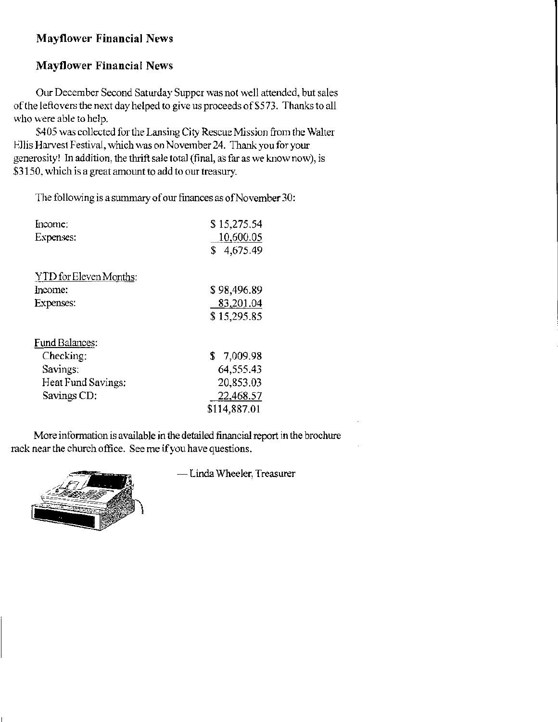#### **Mayflower Financial News**

## **Mayflower Financial News**

Our December Second Saturday Supper was not well attended, but sales of the leftovers the next day helped to give us proceeds of \$573. Thanks to all who were able to help.

\$405 was collected for the Lansing City Rescue Mission from the Walter Ellis Harvest Festival, which was on November 24. Thank you for your generosity! In addition, the thrift sale total (final, as far as we know now), is \$3150, which is a great amount to add to our treasury.

The following is a summary of our finances as of November 30:

| Income:                | \$15,275.54  |
|------------------------|--------------|
| Expenses:              | 10,600.05    |
|                        | \$4,675.49   |
| YTD for Eleven Months: |              |
| Income:                | \$98,496.89  |
| Expenses:              | 83,201.04    |
|                        | \$15,295.85  |
| <b>Fund Balances:</b>  |              |
| Checking:              | \$7.009.98   |
| Savings:               | 64,555.43    |
| Heat Fund Savings:     | 20,853.03    |
| Savings CD:            | 22,468.57    |
|                        | \$114,887.01 |

More information is available in the detailed financial report in the brochure rack near the church office. See me if you have questions.



- Linda Wheeler, Treasurer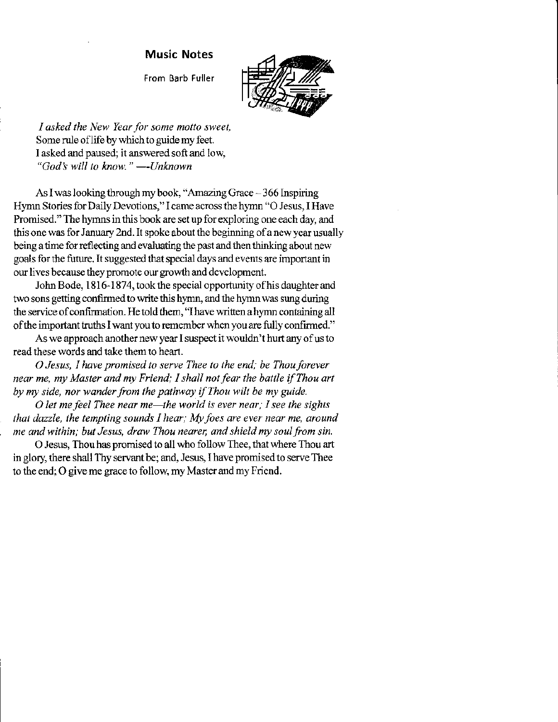#### Music Notes

From Barb Fuller



I asked the New Year for some motto sweet, Some rule of life by which to guide my feet. I asked and paused; it answered soft and low, "God's will to know."  $-$ -Unknown -Unknown

As I was looking through my book, "Amazing Grace - 366 Inspiring Hymn Stories for Daily Devotions," I came across the hymn "O Jesus, I Have Promised." The hymns in this book are set up for exploring one each day, and this one was for January 2nd. It spoke about the beginning of a new year usually being a time for reflecting and evaluating the past and then thinking about new goals for the future. It suggested that special days and events are important in our lives because they promote our growth and development.

John Bode, 1816-1874, took the special opportunity of his daughter and two sons getting confirmed to write this hymn, and the hymn was sung during the service of confirmation. He told them, "I have written a hymn containing all of the important truths I want you to remember when you are fully confirmed."

As we approach another new year I suspect it wouldn't hurt any of us to read these words and take them to heart.

O Jesus, I have promised to serve Thee to the end; be Thou forever near me, my Master and my Friend; I shall not fear the battle if Thou art by my side, nor wander from the pathway if Thou wilt be my guide.

O let me feel Thee near me—the world is ever near; I see the sights that dazzle, the tempting sounds I hear; My foes are ever near me, around me and within; but Jesus, draw Thou nearer, and shield my soul from sin.

O Jesus, Thou has promised to all who follow Thee, that where Thou art in glory, there shall Thy servant be; and, Jesus, I have promised to serve Thee to the end; O give me grace to follow, my Master and my Friend.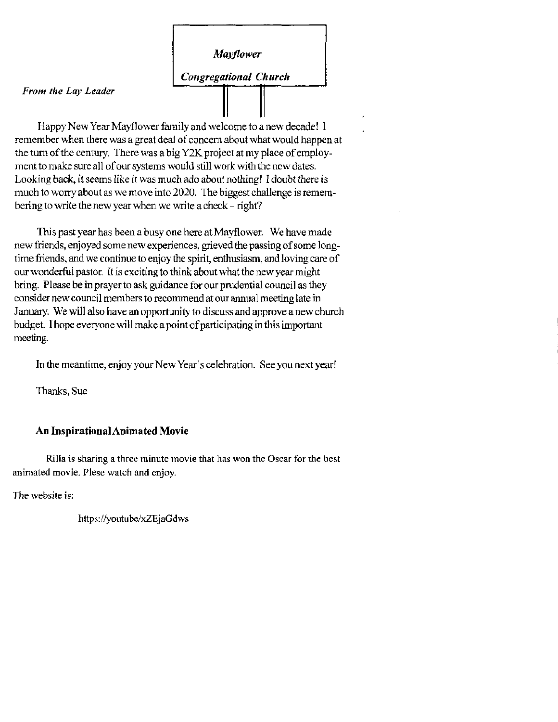### Mayflower

Congregational Church

#### From the Lay Leader

Happy New Year Mayflower family and welcome to a new decade! I remember when there was a great deal of concern about what would happen at the turn of the century. There was a big Y2K project at my place of employment to make sure all of our systems would still work with the new dates. Looking back, it seems like it was much ado about nothing! I doubt there is much to worry about as we move into 2020. The biggest challenge is remembering to write the new year when we write a check – right?

This past year has been a busy one here at Mayflower. We have made new friends, enjoyed some new experiences, grieved the passing of some longtime friends, and we continue to enjoy the spirit, enthusiasm, and loving care of our wonderful pastor. It is exciting to think about what the new year might bring. Please be in prayer to ask guidance for our prudential council as they consider new council members to recommend at our annual meeting late in January. We will also have an opportunity to discuss and approve a new church budget. I hope everyone will make a point of participating in this important meeting.

In the meantime, enjoy your New Year's celebration. See you next year!

Thanks, Sue

#### **An Inspirational Animated Movie**

Rilla is sharing a three minute movie that has won the Oscar for the best animated movie. Plese watch and enjoy.

The website is:

https://youtube/xZEjaGdws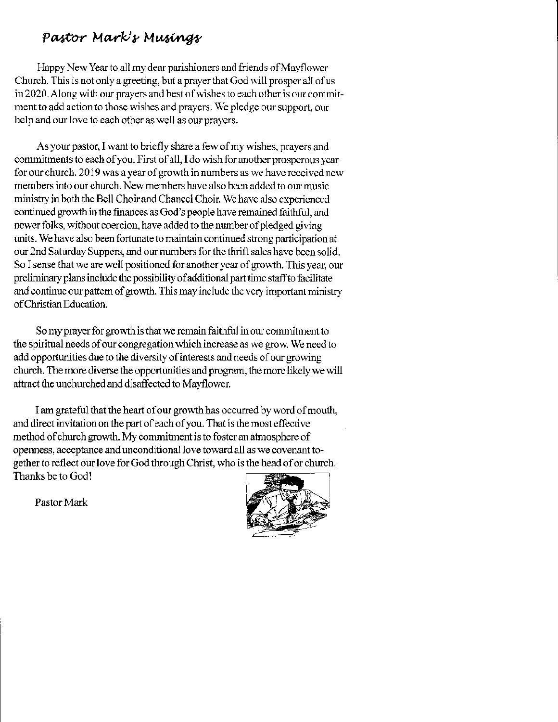## Pastor Mark's Musings

Happy New Year to all my dear parishioners and friends of Mayflower Church. This is not only a greeting, but a prayer that God will prosper all of us in 2020. Along with our prayers and best of wishes to each other is our commitment to add action to those wishes and prayers. We pledge our support, our help ard our love to each other as well as our prayers.

As your pastor, I want to briefly share a few of my wishes, prayers and commitments to each of you. First of all, I do wish for another prosperous year for our church. 2019 was a year of growth in numbers as we have received new members into our church. New members have also been added to our music ministry in both the Bell Choir and Chancel Choir. We have also experienced continued growth in the finances as God's people have remained faithful, and newer folks, without coercion, have added to the number of pledged giving units. We have also been fortunate to maintain continued strong participation at our 2nd Saturday Suppers, and our numbers for the thrift sales have been solid. So I sense that we are well positioned for another year of growth. This year, our preliminary plars include the possibility ofadditional part time stafto facilitate and continue our pattern of growth. This may include the very important ministry of Christian Education.

So my prayer for growth is that we remain faithful in our commitment to the spiritual needs of our congregation which increase as we grow. We need to add opportunities due to the diversity of interests and needs of our growing church. The more diverse the opportunities and program, the more likely we will attract the unchurched and disaffected to Mayllower

I am grateful that the heart of our growth has occurred by word of mouth, and direct invitation on the part of each of you. That is the most effective method of church growth. My commitment is to foster an atmosphere of openness, acceptance and unconditional love toward all as we covenant together to reflect our love for God through Christ, who is the head of or church. Thanks be to God!



Pastor Mark